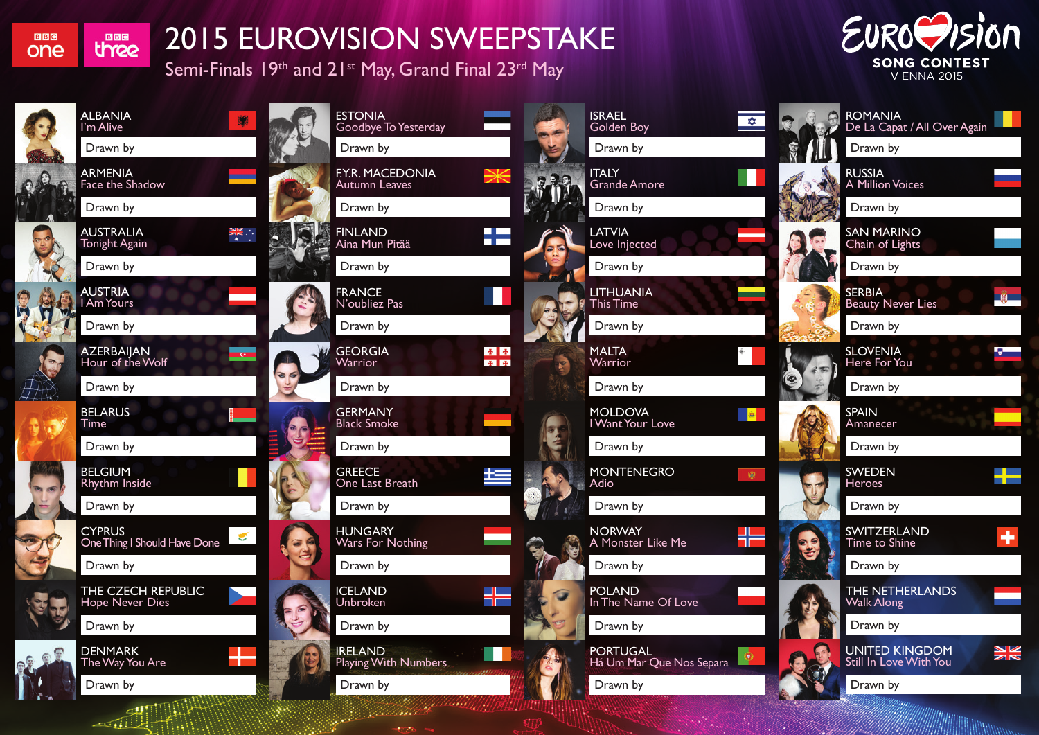**BBC** one

**BBC** three

 $\sim$   $\sim$   $\sim$   $\sim$   $\sim$ 

## 2015 EUROVISION SWEEPSTAKE

Semi-Finals 19th and 21st May, Grand Final 23rd May